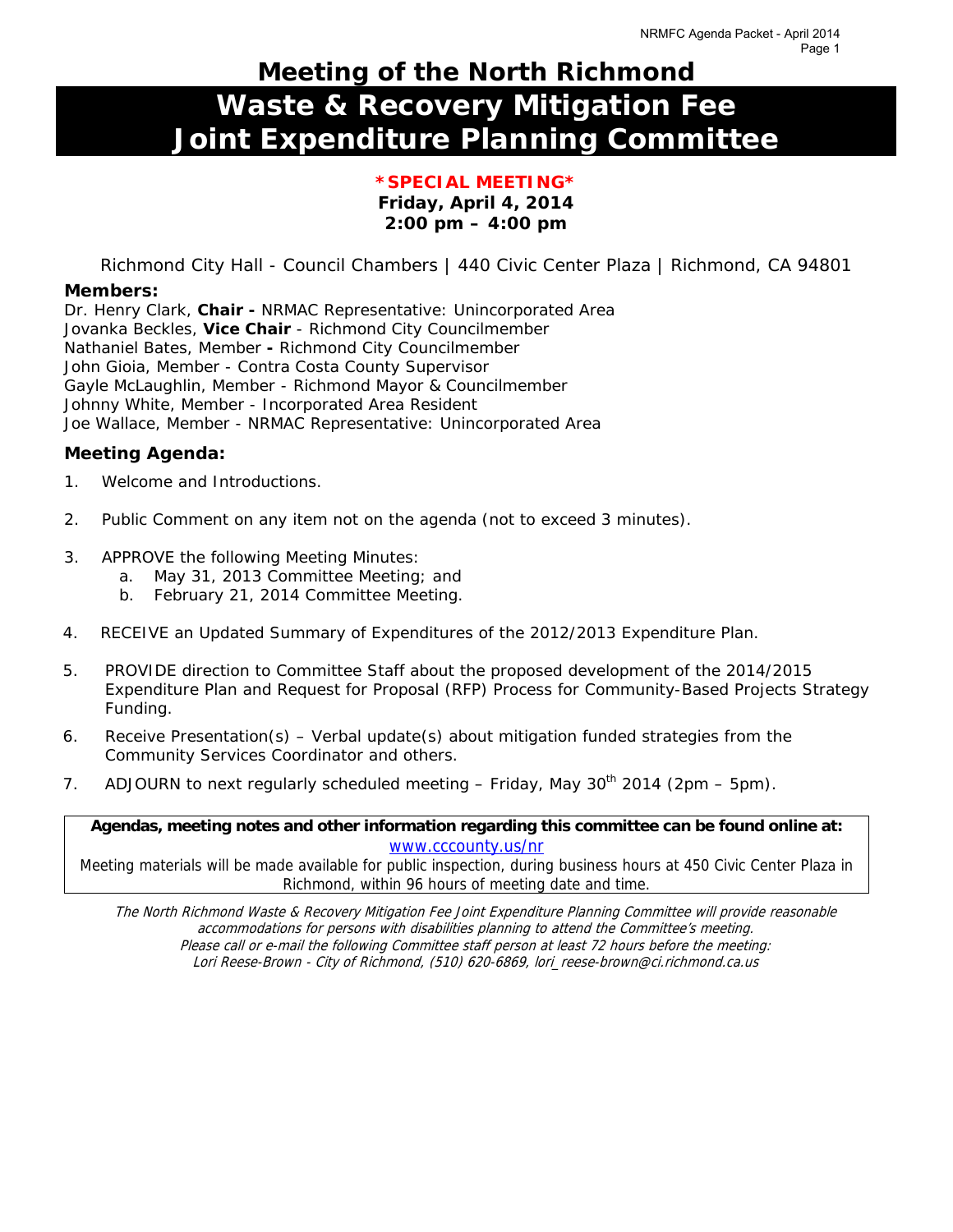# **Meeting of the North Richmond Waste & Recovery Mitigation Fee Joint Expenditure Planning Committee**

#### **\*SPECIAL MEETING\* Friday, April 4, 2014 2:00 pm – 4:00 pm**

Richmond City Hall - Council Chambers | 440 Civic Center Plaza | Richmond, CA 94801

#### **Members:**

Dr. Henry Clark, **Chair -** NRMAC Representative: Unincorporated Area Jovanka Beckles, **Vice Chair** - Richmond City Councilmember Nathaniel Bates, Member **-** Richmond City Councilmember John Gioia, Member - Contra Costa County Supervisor Gayle McLaughlin, Member - Richmond Mayor & Councilmember Johnny White, Member - Incorporated Area Resident Joe Wallace, Member - NRMAC Representative: Unincorporated Area

#### **Meeting Agenda:**

- 1. Welcome and Introductions.
- 2. Public Comment on any item not on the agenda *(not to exceed 3 minutes).*
- 3. *APPROVE* the following Meeting Minutes:
	- a. May 31, 2013 Committee Meeting; and
	- b. February 21, 2014 Committee Meeting.
- 4. *RECEIVE* an Updated Summary of Expenditures of the 2012/2013 Expenditure Plan.
- 5. *PROVIDE* direction to Committee Staff about the proposed development of the 2014/2015 Expenditure Plan and Request for Proposal (RFP) Process for Community-Based Projects Strategy Funding*.*
- 6. *Receive Presentation(s)*  Verbal update(s) about mitigation funded strategies from the Community Services Coordinator and others.
- 7. *ADJOURN* to next regularly scheduled meeting Friday, May 30<sup>th</sup> 2014 (2pm 5pm).

**Agendas, meeting notes and other information regarding this committee can be found online at:**  www.cccounty.us/nr

Meeting materials will be made available for public inspection, during business hours at 450 Civic Center Plaza in Richmond, within 96 hours of meeting date and time.

The North Richmond Waste & Recovery Mitigation Fee Joint Expenditure Planning Committee will provide reasonable accommodations for persons with disabilities planning to attend the Committee's meeting. Please call or e-mail the following Committee staff person at least 72 hours before the meeting: Lori Reese-Brown - City of Richmond, (510) 620-6869, lori\_reese-brown@ci.richmond.ca.us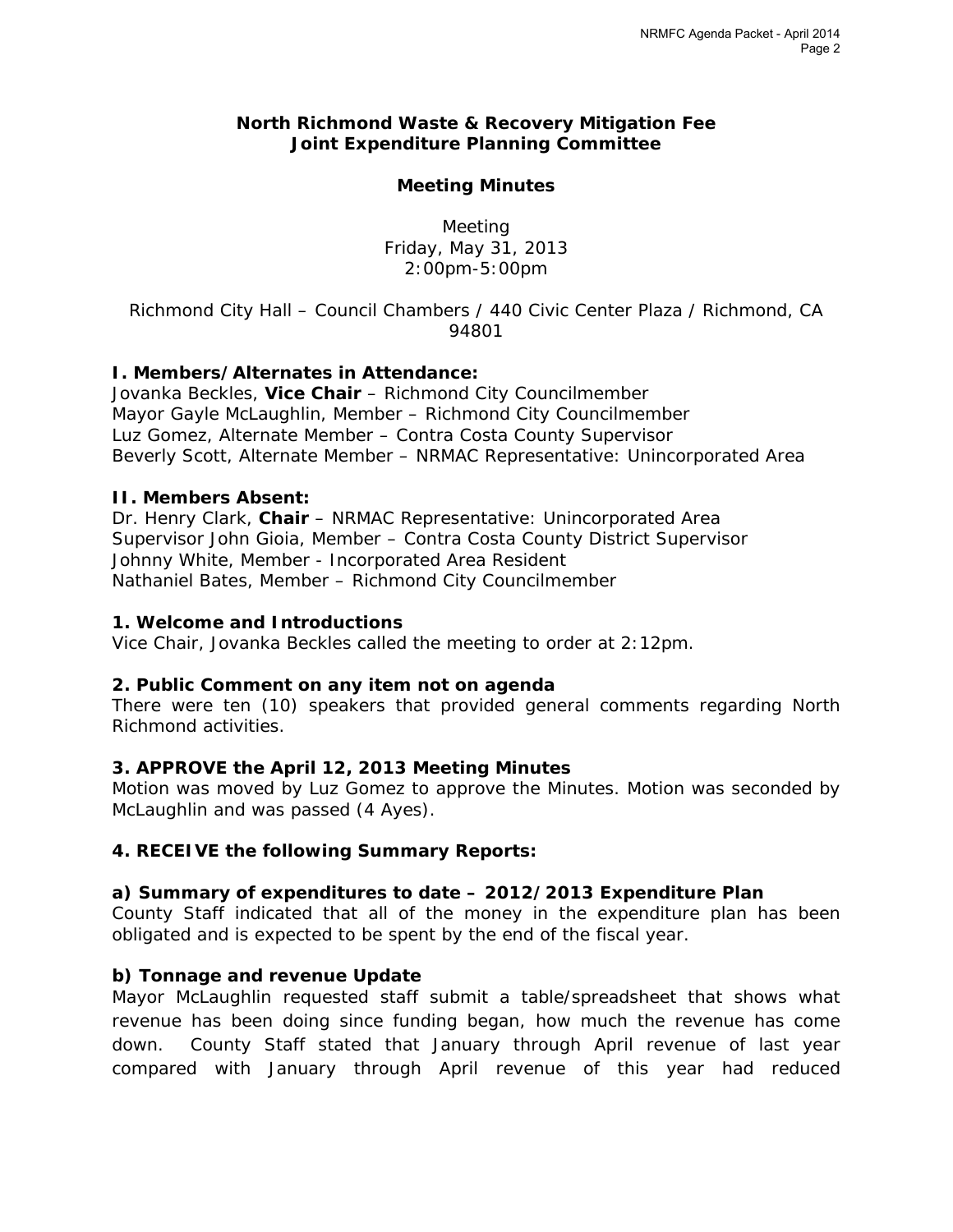#### **North Richmond Waste & Recovery Mitigation Fee Joint Expenditure Planning Committee**

#### **Meeting Minutes**

Meeting Friday, May 31, 2013 2:00pm-5:00pm

*Richmond City Hall – Council Chambers / 440 Civic Center Plaza / Richmond, CA 94801* 

# **I. Members/Alternates in Attendance:**

Jovanka Beckles, **Vice Chair** – Richmond City Councilmember Mayor Gayle McLaughlin, Member – Richmond City Councilmember Luz Gomez, Alternate Member – Contra Costa County Supervisor Beverly Scott, Alternate Member – NRMAC Representative: Unincorporated Area

#### **II. Members Absent:**

Dr. Henry Clark, **Chair** – NRMAC Representative: Unincorporated Area Supervisor John Gioia, Member – Contra Costa County District Supervisor Johnny White, Member - Incorporated Area Resident Nathaniel Bates, Member – Richmond City Councilmember

#### **1. Welcome and Introductions**

Vice Chair, Jovanka Beckles called the meeting to order at 2:12pm.

#### **2. Public Comment on any item not on agenda**

There were ten (10) speakers that provided general comments regarding North Richmond activities.

#### **3. APPROVE the April 12, 2013 Meeting Minutes**

*Motion was moved* by Luz Gomez to approve the Minutes. *Motion was seconded* by McLaughlin and *was passed (4 Ayes).* 

#### **4. RECEIVE the following Summary Reports:**

# **a) Summary of expenditures to date – 2012/2013 Expenditure Plan**

County Staff indicated that all of the money in the expenditure plan has been obligated and is expected to be spent by the end of the fiscal year.

#### **b) Tonnage and revenue Update**

Mayor McLaughlin requested staff submit a table/spreadsheet that shows what revenue has been doing since funding began, how much the revenue has come down. County Staff stated that January through April revenue of last year compared with January through April revenue of this year had reduced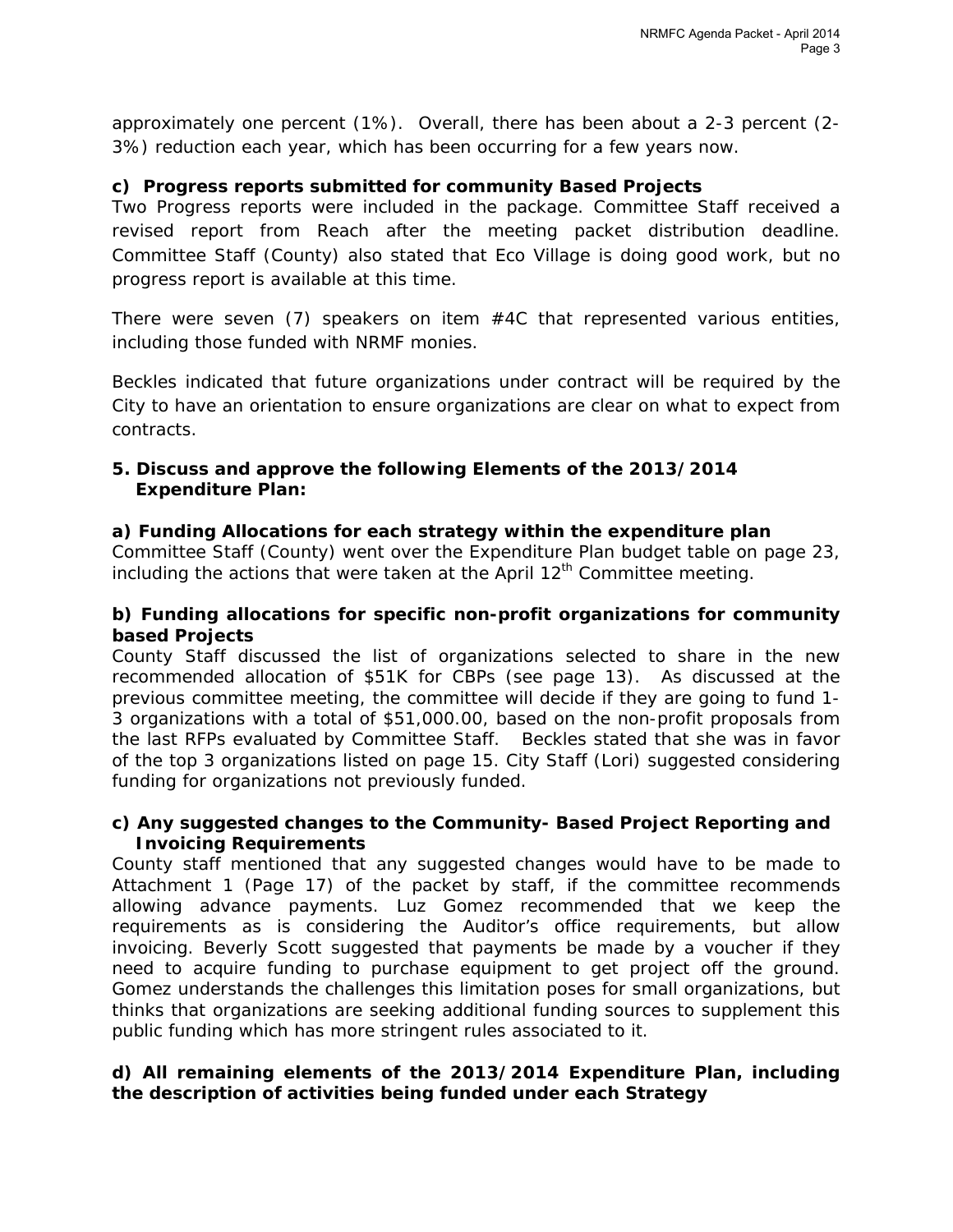approximately one percent (1%). Overall, there has been about a 2-3 percent (2- 3%) reduction each year, which has been occurring for a few years now.

## **c) Progress reports submitted for community Based Projects**

Two Progress reports were included in the package. Committee Staff received a revised report from Reach after the meeting packet distribution deadline. Committee Staff (County) also stated that Eco Village is doing good work, but no progress report is available at this time.

There were seven  $(7)$  speakers on item  $#4C$  that represented various entities, including those funded with NRMF monies.

Beckles indicated that future organizations under contract will be required by the City to have an orientation to ensure organizations are clear on what to expect from contracts.

### **5. Discuss and approve the following Elements of the 2013/2014 Expenditure Plan:**

### **a) Funding Allocations for each strategy within the expenditure plan**

Committee Staff (County) went over the Expenditure Plan budget table on page 23, including the actions that were taken at the April  $12<sup>th</sup>$  Committee meeting.

#### **b) Funding allocations for specific non-profit organizations for community based Projects**

County Staff discussed the list of organizations selected to share in the new recommended allocation of \$51K for CBPs (see page 13). As discussed at the previous committee meeting, the committee will decide if they are going to fund 1- 3 organizations with a total of \$51,000.00, based on the non-profit proposals from the last RFPs evaluated by Committee Staff. Beckles stated that she was in favor of the top 3 organizations listed on page 15. City Staff (Lori) suggested considering funding for organizations not previously funded.

### **c) Any suggested changes to the Community- Based Project Reporting and Invoicing Requirements**

County staff mentioned that any suggested changes would have to be made to Attachment 1 (Page 17) of the packet by staff, if the committee recommends allowing advance payments. Luz Gomez recommended that we keep the requirements as is considering the Auditor's office requirements, but allow invoicing. Beverly Scott suggested that payments be made by a voucher if they need to acquire funding to purchase equipment to get project off the ground. Gomez understands the challenges this limitation poses for small organizations, but thinks that organizations are seeking additional funding sources to supplement this public funding which has more stringent rules associated to it.

### **d) All remaining elements of the 2013/2014 Expenditure Plan, including the description of activities being funded under each Strategy**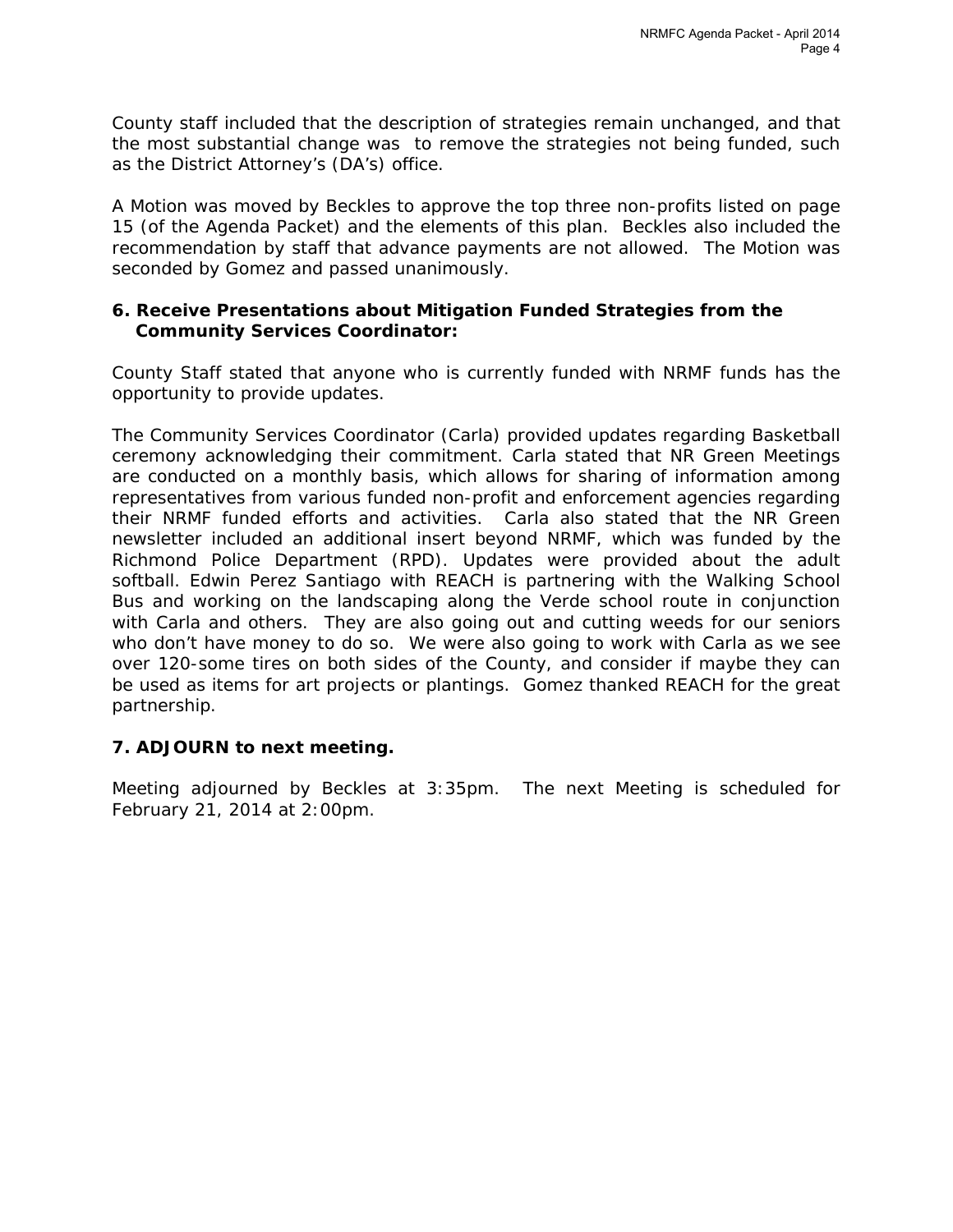County staff included that the description of strategies remain unchanged, and that the most substantial change was to remove the strategies not being funded, such as the District Attorney's (DA's) office.

A *Motion was moved* by Beckles to approve the top three non-profits listed on page 15 (of the Agenda Packet) and the elements of this plan. Beckles also included the recommendation by staff that advance payments are not allowed. The *Motion* was seconded by Gomez and passed unanimously.

#### **6. Receive Presentations about Mitigation Funded Strategies from the Community Services Coordinator:**

County Staff stated that anyone who is currently funded with NRMF funds has the opportunity to provide updates.

The Community Services Coordinator (Carla) provided updates regarding Basketball ceremony acknowledging their commitment. Carla stated that NR Green Meetings are conducted on a monthly basis, which allows for sharing of information among representatives from various funded non-profit and enforcement agencies regarding their NRMF funded efforts and activities. Carla also stated that the NR Green newsletter included an additional insert beyond NRMF, which was funded by the Richmond Police Department (RPD). Updates were provided about the adult softball. Edwin Perez Santiago with REACH is partnering with the Walking School Bus and working on the landscaping along the Verde school route in conjunction with Carla and others. They are also going out and cutting weeds for our seniors who don't have money to do so. We were also going to work with Carla as we see over 120-some tires on both sides of the County, and consider if maybe they can be used as items for art projects or plantings. Gomez thanked REACH for the great partnership.

# **7. ADJOURN to next meeting.**

Meeting adjourned by Beckles at 3:35pm. The next Meeting is scheduled for February 21, 2014 at 2:00pm.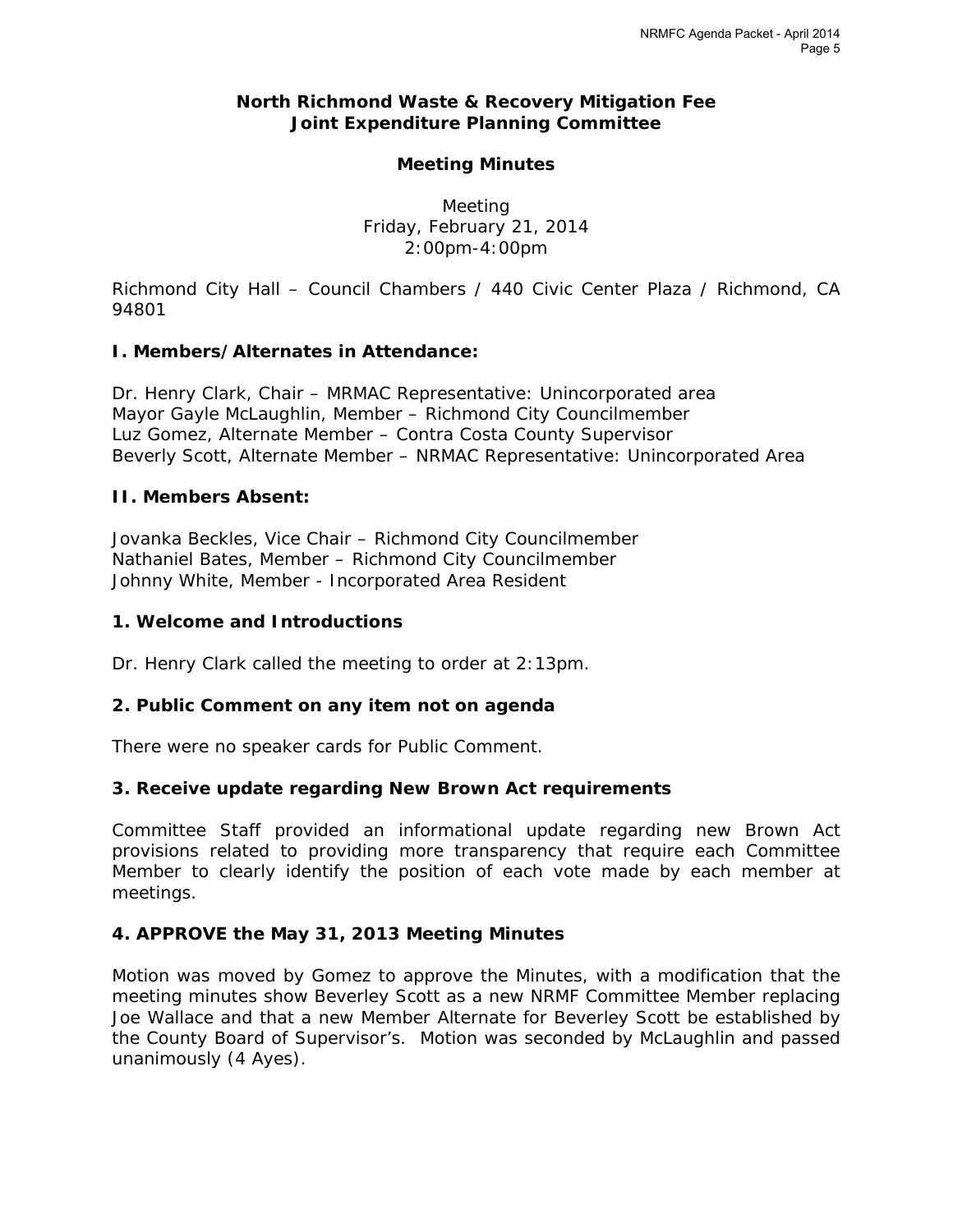#### **North Richmond Waste & Recovery Mitigation Fee Joint Expenditure Planning Committee**

#### **Meeting Minutes**

Meeting Friday, February 21, 2014 2:00pm-4:00pm

*Richmond City Hall – Council Chambers / 440 Civic Center Plaza / Richmond, CA 94801* 

#### **I. Members/Alternates in Attendance:**

Dr. Henry Clark, Chair – MRMAC Representative: Unincorporated area Mayor Gayle McLaughlin, Member – Richmond City Councilmember Luz Gomez, Alternate Member – Contra Costa County Supervisor Beverly Scott, Alternate Member – NRMAC Representative: Unincorporated Area

#### **II. Members Absent:**

Jovanka Beckles, Vice Chair – Richmond City Councilmember Nathaniel Bates, Member – Richmond City Councilmember Johnny White, Member - Incorporated Area Resident

#### **1. Welcome and Introductions**

Dr. Henry Clark called the meeting to order at 2:13pm.

#### **2. Public Comment on any item not on agenda**

There were no speaker cards for Public Comment.

#### **3. Receive update regarding New Brown Act requirements**

Committee Staff provided an informational update regarding new Brown Act provisions related to providing more transparency that require each Committee Member to clearly identify the position of each vote made by each member at meetings.

#### **4. APPROVE the May 31, 2013 Meeting Minutes**

*Motion was moved* by Gomez to approve the Minutes, with a modification that the meeting minutes show Beverley Scott as a new NRMF Committee Member replacing Joe Wallace and that a new Member Alternate for Beverley Scott be established by the County Board of Supervisor's. *Motion was seconded* by McLaughlin and *passed unanimously (4 Ayes).*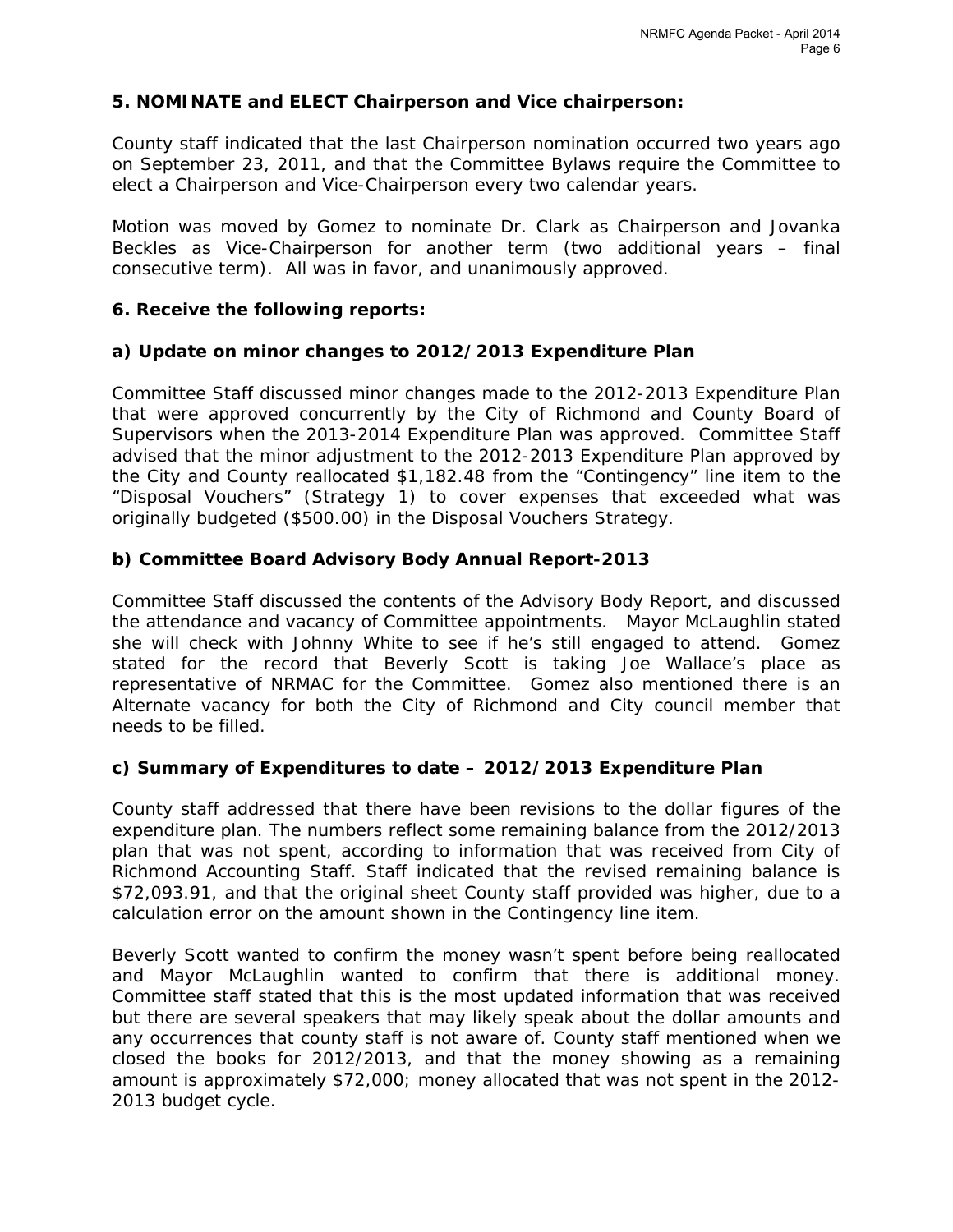### **5. NOMINATE and ELECT Chairperson and Vice chairperson:**

County staff indicated that the last Chairperson nomination occurred two years ago on September 23, 2011, and that the Committee Bylaws require the Committee to elect a Chairperson and Vice-Chairperson every two calendar years.

*Motion was moved* by Gomez to nominate Dr. Clark as Chairperson and Jovanka Beckles as Vice-Chairperson for another term (two additional years – final consecutive term). All was in favor, and *unanimously approved*.

#### **6. Receive the following reports:**

#### **a) Update on minor changes to 2012/2013 Expenditure Plan**

Committee Staff discussed minor changes made to the 2012-2013 Expenditure Plan that were approved concurrently by the City of Richmond and County Board of Supervisors when the 2013-2014 Expenditure Plan was approved. Committee Staff advised that the minor adjustment to the 2012-2013 Expenditure Plan approved by the City and County reallocated \$1,182.48 from the "Contingency" line item to the "Disposal Vouchers" (Strategy 1) to cover expenses that exceeded what was originally budgeted (\$500.00) in the Disposal Vouchers Strategy.

#### **b) Committee Board Advisory Body Annual Report-2013**

Committee Staff discussed the contents of the Advisory Body Report, and discussed the attendance and vacancy of Committee appointments. Mayor McLaughlin stated she will check with Johnny White to see if he's still engaged to attend. Gomez stated for the record that Beverly Scott is taking Joe Wallace's place as representative of NRMAC for the Committee. Gomez also mentioned there is an Alternate vacancy for both the City of Richmond and City council member that needs to be filled.

#### **c) Summary of Expenditures to date – 2012/2013 Expenditure Plan**

County staff addressed that there have been revisions to the dollar figures of the expenditure plan. The numbers reflect some remaining balance from the 2012/2013 plan that was not spent, according to information that was received from City of Richmond Accounting Staff. Staff indicated that the revised remaining balance is \$72,093.91, and that the original sheet County staff provided was higher, due to a calculation error on the amount shown in the Contingency line item.

Beverly Scott wanted to confirm the money wasn't spent before being reallocated and Mayor McLaughlin wanted to confirm that there is additional money. Committee staff stated that this is the most updated information that was received but there are several speakers that may likely speak about the dollar amounts and any occurrences that county staff is not aware of. County staff mentioned when we closed the books for 2012/2013, and that the money showing as a remaining amount is approximately \$72,000; money allocated that was not spent in the 2012- 2013 budget cycle.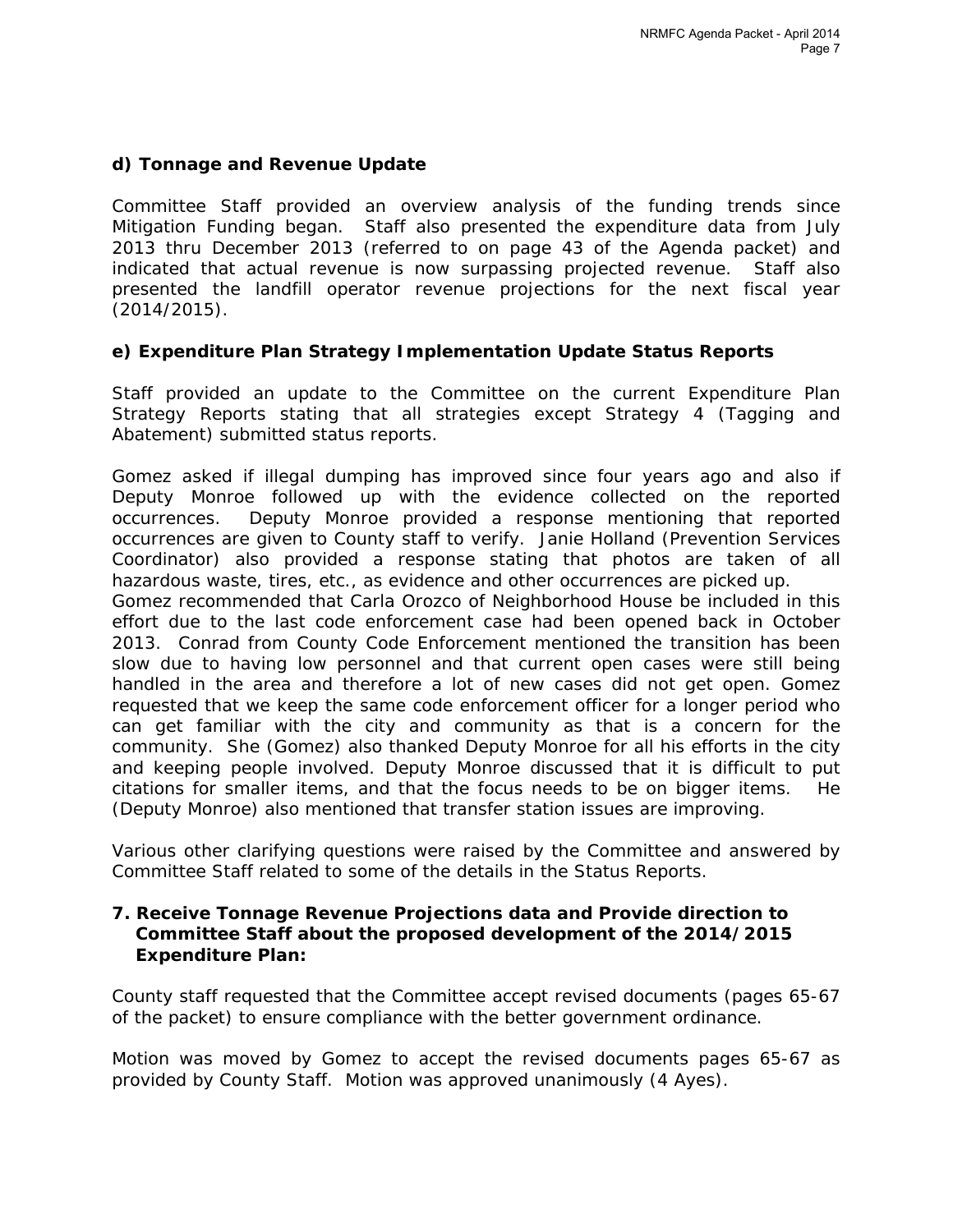### **d) Tonnage and Revenue Update**

Committee Staff provided an overview analysis of the funding trends since Mitigation Funding began. Staff also presented the expenditure data from July 2013 thru December 2013 (referred to on page 43 of the Agenda packet) and indicated that actual revenue is now surpassing projected revenue. Staff also presented the landfill operator revenue projections for the next fiscal year (2014/2015).

### **e) Expenditure Plan Strategy Implementation Update Status Reports**

Staff provided an update to the Committee on the current Expenditure Plan Strategy Reports stating that all strategies except Strategy 4 (Tagging and Abatement) submitted status reports.

Gomez asked if illegal dumping has improved since four years ago and also if Deputy Monroe followed up with the evidence collected on the reported occurrences. Deputy Monroe provided a response mentioning that reported occurrences are given to County staff to verify. Janie Holland (Prevention Services Coordinator) also provided a response stating that photos are taken of all hazardous waste, tires, etc., as evidence and other occurrences are picked up.

Gomez recommended that Carla Orozco of Neighborhood House be included in this effort due to the last code enforcement case had been opened back in October 2013. Conrad from County Code Enforcement mentioned the transition has been slow due to having low personnel and that current open cases were still being handled in the area and therefore a lot of new cases did not get open. Gomez requested that we keep the same code enforcement officer for a longer period who can get familiar with the city and community as that is a concern for the community. She (Gomez) also thanked Deputy Monroe for all his efforts in the city and keeping people involved. Deputy Monroe discussed that it is difficult to put citations for smaller items, and that the focus needs to be on bigger items. He (Deputy Monroe) also mentioned that transfer station issues are improving.

Various other clarifying questions were raised by the Committee and answered by Committee Staff related to some of the details in the Status Reports.

#### **7. Receive Tonnage Revenue Projections data and Provide direction to Committee Staff about the proposed development of the 2014/2015 Expenditure Plan:**

County staff requested that the Committee accept revised documents (pages 65-67 of the packet) to ensure compliance with the better government ordinance.

*Motion was moved by Gomez* to accept the revised documents pages 65-67 as provided by County Staff. *Motion was approved unanimously (4 Ayes).*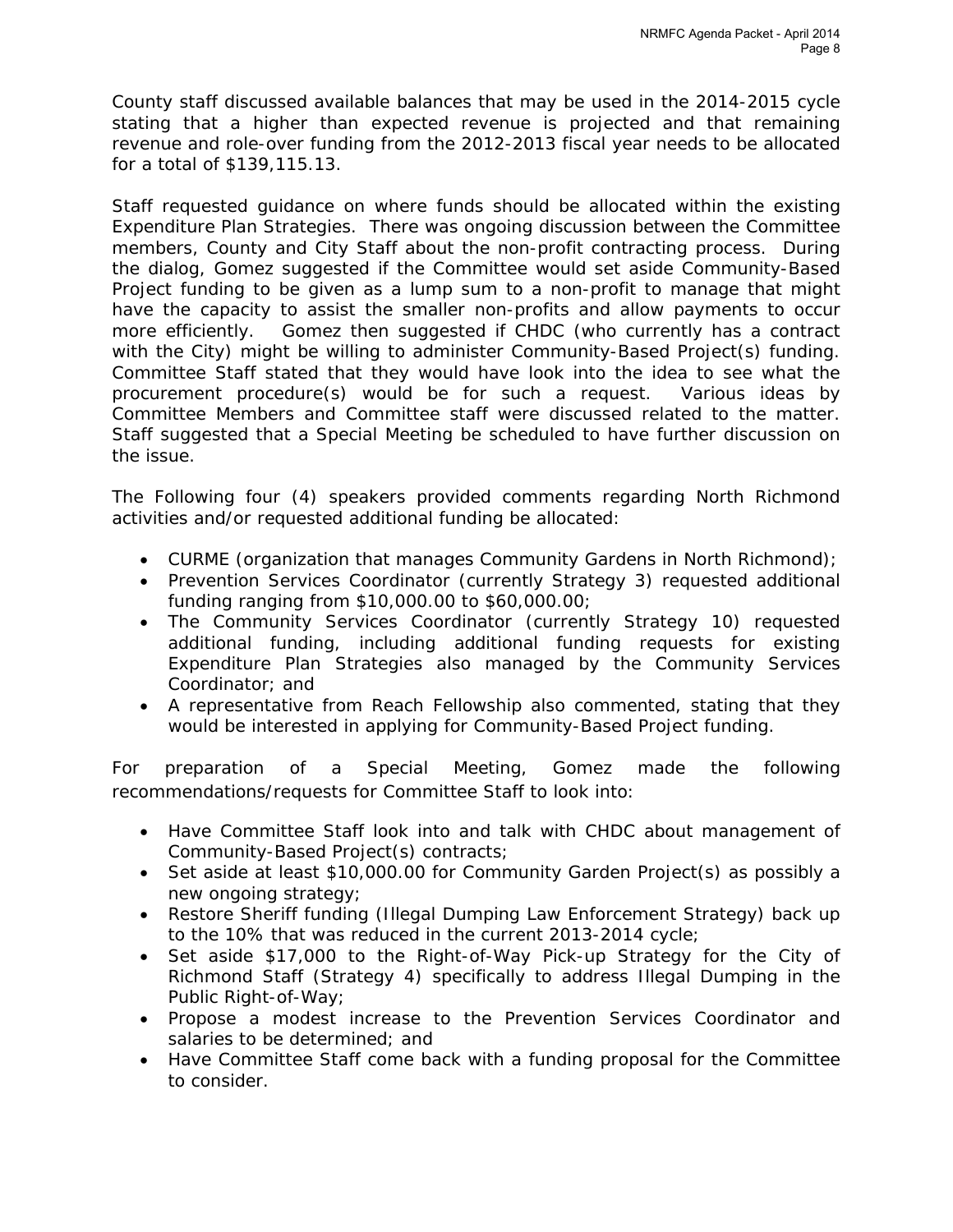County staff discussed available balances that may be used in the 2014-2015 cycle stating that a higher than expected revenue is projected and that remaining revenue and role-over funding from the 2012-2013 fiscal year needs to be allocated for a total of \$139,115.13.

Staff requested guidance on where funds should be allocated within the existing Expenditure Plan Strategies. There was ongoing discussion between the Committee members, County and City Staff about the non-profit contracting process. During the dialog, Gomez suggested if the Committee would set aside Community-Based Project funding to be given as a lump sum to a non-profit to manage that might have the capacity to assist the smaller non-profits and allow payments to occur more efficiently. Gomez then suggested if CHDC (who currently has a contract with the City) might be willing to administer Community-Based Project(s) funding. Committee Staff stated that they would have look into the idea to see what the procurement procedure(s) would be for such a request. Various ideas by Committee Members and Committee staff were discussed related to the matter. Staff suggested that a Special Meeting be scheduled to have further discussion on the issue.

The Following four (4) speakers provided comments regarding North Richmond activities and/or requested additional funding be allocated:

- CURME (organization that manages Community Gardens in North Richmond);
- Prevention Services Coordinator (currently Strategy 3) requested additional funding ranging from \$10,000.00 to \$60,000.00;
- The Community Services Coordinator (currently Strategy 10) requested additional funding, including additional funding requests for existing Expenditure Plan Strategies also managed by the Community Services Coordinator; and
- A representative from Reach Fellowship also commented, stating that they would be interested in applying for Community-Based Project funding.

For preparation of a Special Meeting, Gomez made the following recommendations/requests for Committee Staff to look into:

- Have Committee Staff look into and talk with CHDC about management of Community-Based Project(s) contracts;
- Set aside at least \$10,000.00 for Community Garden Project(s) as possibly a new ongoing strategy;
- Restore Sheriff funding (Illegal Dumping Law Enforcement Strategy) back up to the 10% that was reduced in the current 2013-2014 cycle;
- Set aside \$17,000 to the Right-of-Way Pick-up Strategy for the City of Richmond Staff (Strategy 4) specifically to address Illegal Dumping in the Public Right-of-Way;
- Propose a modest increase to the Prevention Services Coordinator and salaries to be determined; and
- Have Committee Staff come back with a funding proposal for the Committee to consider.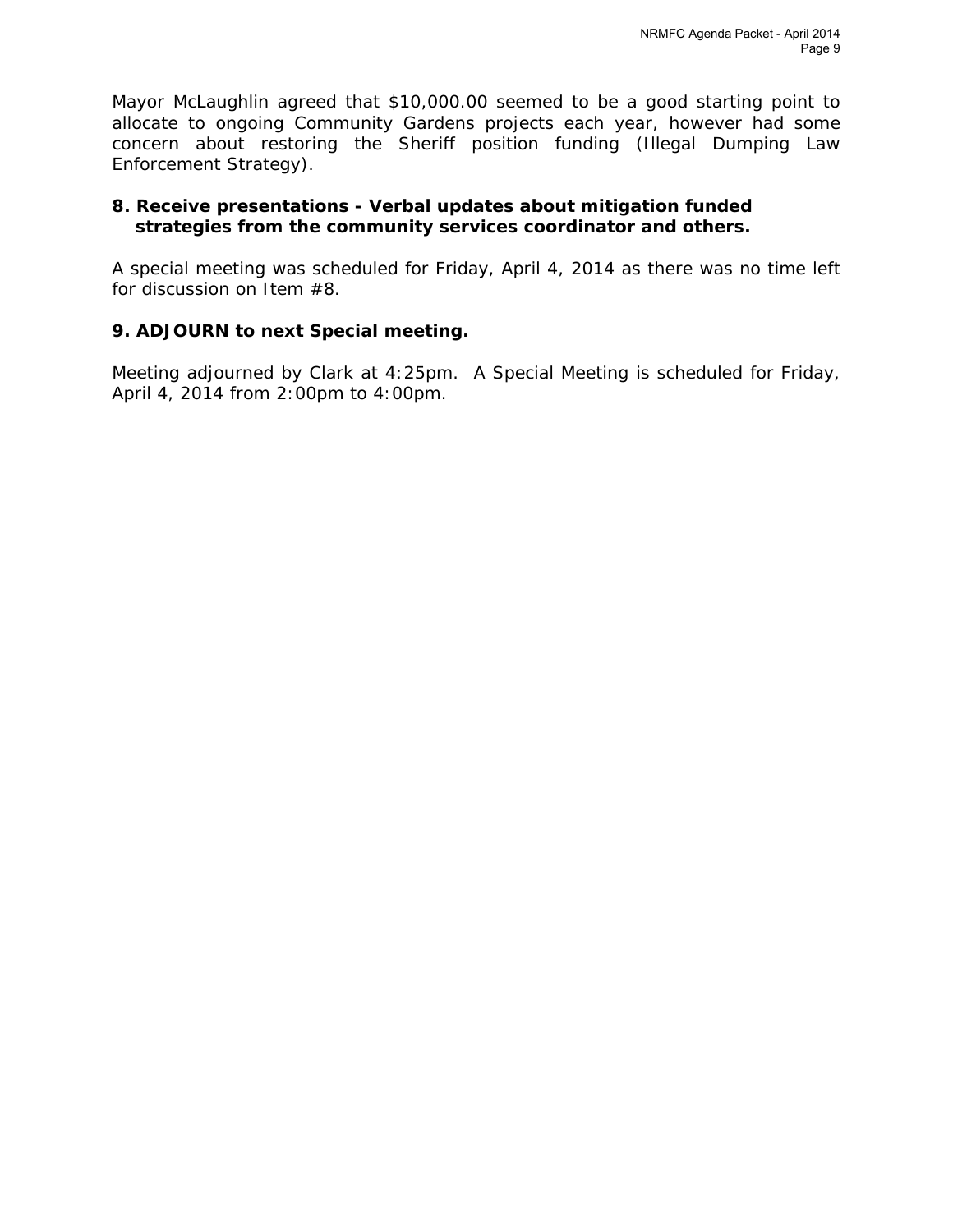Mayor McLaughlin agreed that \$10,000.00 seemed to be a good starting point to allocate to ongoing Community Gardens projects each year, however had some concern about restoring the Sheriff position funding (Illegal Dumping Law Enforcement Strategy).

## **8. Receive presentations - Verbal updates about mitigation funded strategies from the community services coordinator and others.**

A special meeting was scheduled for Friday, April 4, 2014 as there was no time left for discussion on Item #8.

# **9. ADJOURN to next Special meeting.**

Meeting adjourned by Clark at 4:25pm. A Special Meeting is scheduled for Friday, April 4, 2014 from 2:00pm to 4:00pm.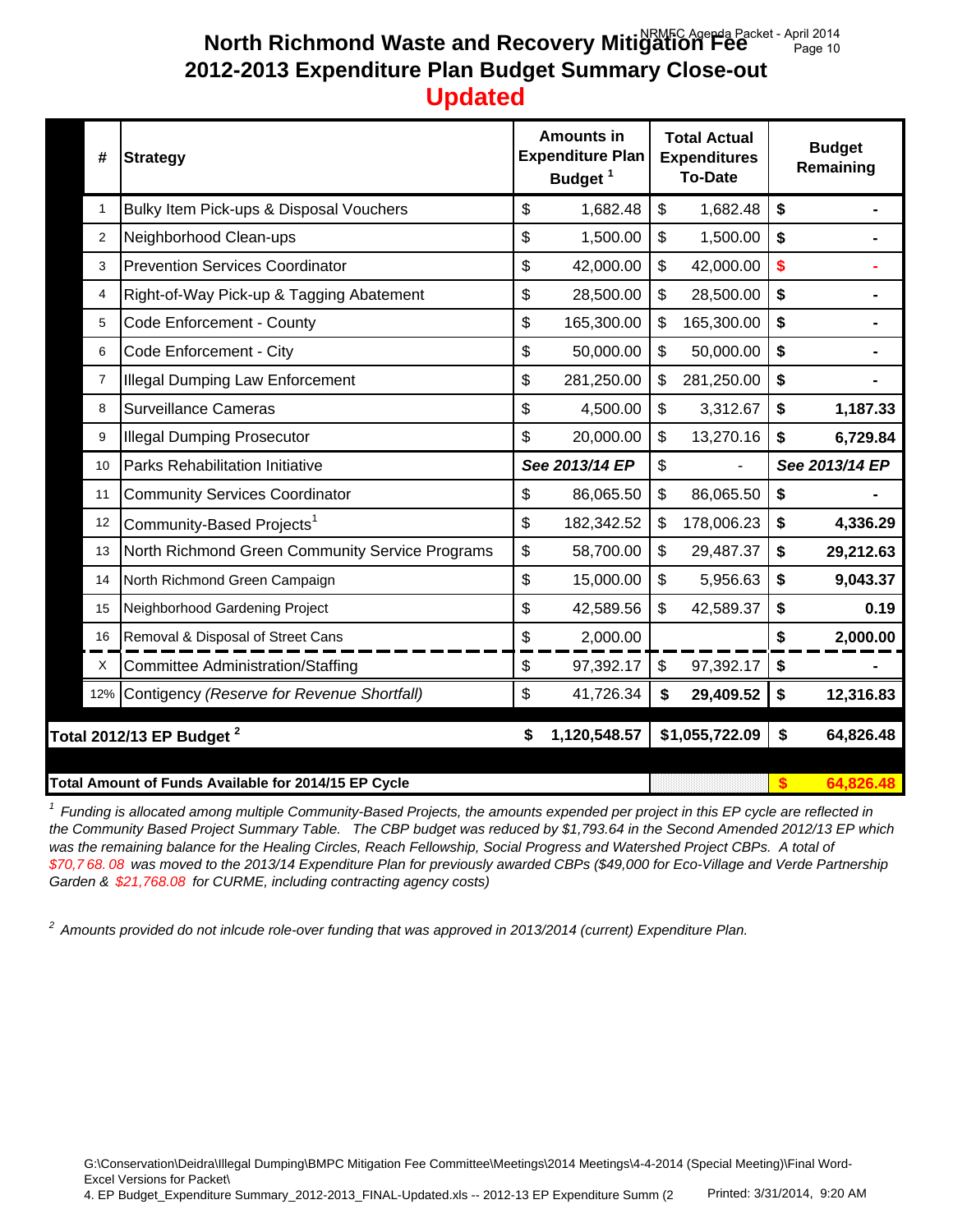#### **North Richmond Waste and Recovery Mitigation Fee** Packet - April 2014 **2012-2013 Expenditure Plan Budget Summary Close-out Updated** Page 10

| #              | <b>Strategy</b>                                 | <b>Amounts in</b><br><b>Expenditure Plan</b><br>Budget <sup>1</sup> |                |                           | <b>Total Actual</b><br><b>Expenditures</b><br><b>To-Date</b> | <b>Budget</b><br>Remaining |           |  |
|----------------|-------------------------------------------------|---------------------------------------------------------------------|----------------|---------------------------|--------------------------------------------------------------|----------------------------|-----------|--|
| $\mathbf 1$    | Bulky Item Pick-ups & Disposal Vouchers         | \$                                                                  | 1,682.48       | \$                        | 1,682.48                                                     | \$                         |           |  |
| 2              | Neighborhood Clean-ups                          | \$                                                                  | 1,500.00       | $\mathfrak{S}$            | 1,500.00                                                     | \$                         |           |  |
| 3              | <b>Prevention Services Coordinator</b>          | \$                                                                  | 42,000.00      | \$                        | 42,000.00                                                    | \$                         |           |  |
| 4              | Right-of-Way Pick-up & Tagging Abatement        | \$                                                                  | 28,500.00      | $\boldsymbol{\mathsf{S}}$ | 28,500.00                                                    | \$                         |           |  |
| 5              | Code Enforcement - County                       | \$                                                                  | 165,300.00     | \$                        | 165,300.00                                                   | \$                         |           |  |
| 6              | Code Enforcement - City                         | \$                                                                  | 50,000.00      | $\mathfrak{S}$            | 50,000.00                                                    | \$                         |           |  |
| $\overline{7}$ | <b>Illegal Dumping Law Enforcement</b>          | \$                                                                  | 281,250.00     | \$                        | 281,250.00                                                   | \$                         |           |  |
| 8              | <b>Surveillance Cameras</b>                     | \$                                                                  | 4,500.00       | $\boldsymbol{\mathsf{S}}$ | 3,312.67                                                     | \$                         | 1,187.33  |  |
| 9              | <b>Illegal Dumping Prosecutor</b>               | \$                                                                  | 20,000.00      | $\boldsymbol{\mathsf{S}}$ | 13,270.16                                                    | \$                         | 6,729.84  |  |
| 10             | Parks Rehabilitation Initiative                 |                                                                     | See 2013/14 EP | $\mathfrak{S}$            |                                                              | See 2013/14 EP             |           |  |
| 11             | <b>Community Services Coordinator</b>           | \$                                                                  | 86,065.50      | \$                        | 86,065.50                                                    | \$                         |           |  |
| 12             | Community-Based Projects <sup>1</sup>           | \$                                                                  | 182,342.52     | \$                        | 178,006.23                                                   | \$                         | 4,336.29  |  |
| 13             | North Richmond Green Community Service Programs | \$                                                                  | 58,700.00      | $\mathfrak{S}$            | 29,487.37                                                    | \$                         | 29,212.63 |  |
| 14             | North Richmond Green Campaign                   | \$                                                                  | 15,000.00      | \$                        | 5,956.63                                                     | \$                         | 9,043.37  |  |
|                |                                                 |                                                                     |                |                           |                                                              |                            |           |  |
| 15             | Neighborhood Gardening Project                  | \$                                                                  | 42,589.56      | \$                        | 42,589.37                                                    | \$                         | 0.19      |  |
| 16             | Removal & Disposal of Street Cans               | \$                                                                  | 2,000.00       |                           |                                                              | \$                         | 2,000.00  |  |
| X              | <b>Committee Administration/Staffing</b>        | \$                                                                  | 97,392.17      | \$                        | 97,392.17                                                    | \$                         |           |  |
| 12%            | Contigency (Reserve for Revenue Shortfall)      | \$                                                                  | 41,726.34      | \$                        | 29,409.52                                                    | \$                         | 12,316.83 |  |
|                |                                                 | \$                                                                  |                |                           |                                                              | \$                         | 64,826.48 |  |
|                | Total 2012/13 EP Budget <sup>2</sup>            |                                                                     | 1,120,548.57   |                           | \$1,055,722.09                                               |                            |           |  |

*1 Funding is allocated among multiple Community-Based Projects, the amounts expended per project in this EP cycle are reflected in the Community Based Project Summary Table. The CBP budget was reduced by \$1,793.64 in the Second Amended 2012/13 EP which*  was the remaining balance for the Healing Circles, Reach Fellowship, Social Progress and Watershed Project CBPs. A total of *\$70,7 68. 08 was moved to the 2013/14 Expenditure Plan for previously awarded CBPs (\$49,000 for Eco-Village and Verde Partnership Garden & \$21,768.08 for CURME, including contracting agency costs)*

*2 Amounts provided do not inlcude role-over funding that was approved in 2013/2014 (current) Expenditure Plan.* 

G:\Conservation\Deidra\Illegal Dumping\BMPC Mitigation Fee Committee\Meetings\2014 Meetings\4-4-2014 (Special Meeting)\Final Word-Excel Versions for Packet\

4. EP Budget Expenditure Summary 2012-2013 FINAL-Updated.xls -- 2012-13 EP Expenditure Summ (2 Printed: 3/31/2014, 9:20 AM